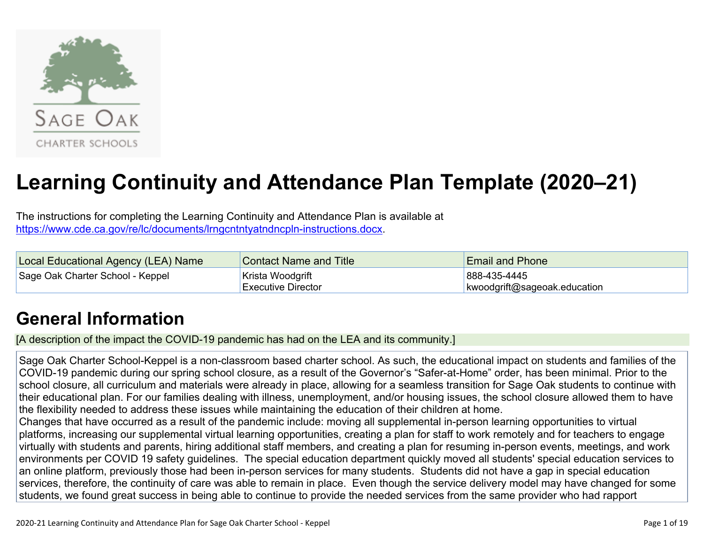

# **Learning Continuity and Attendance Plan Template (2020–21)**

The instructions for completing the Learning Continuity and Attendance Plan is available at <https://www.cde.ca.gov/re/lc/documents/lrngcntntyatndncpln-instructions.docx>.

| Local Educational Agency (LEA) Name | Contact Name and Title | <b>Email and Phone</b>       |
|-------------------------------------|------------------------|------------------------------|
| Sage Oak Charter School - Keppel    | ∣Krista Woodgrift      | 888-435-4445                 |
|                                     | ∣Executive Director    | kwoodgrift@sageoak.education |

## **General [Information](http://www.doc-tracking.com/screenshots/20LCP/Instructions/20LCPInstructions.htm#generalinformation)**

[A description of the impact the COVID-19 pandemic has had on the LEA and its community.]

Sage Oak Charter School-Keppel is a non-classroom based charter school. As such, the educational impact on students and families of the COVID-19 pandemic during our spring school closure, as a result of the Governor's "Safer-at-Home" order, has been minimal. Prior to the school closure, all curriculum and materials were already in place, allowing for a seamless transition for Sage Oak students to continue with their educational plan. For our families dealing with illness, unemployment, and/or housing issues, the school closure allowed them to have the flexibility needed to address these issues while maintaining the education of their children at home.

Changes that have occurred as a result of the pandemic include: moving all supplemental in-person learning opportunities to virtual platforms, increasing our supplemental virtual learning opportunities, creating a plan for staff to work remotely and for teachers to engage virtually with students and parents, hiring additional staff members, and creating a plan for resuming in-person events, meetings, and work environments per COVID 19 safety guidelines. The special education department quickly moved all students' special education services to an online platform, previously those had been in-person services for many students. Students did not have a gap in special education services, therefore, the continuity of care was able to remain in place. Even though the service delivery model may have changed for some students, we found great success in being able to continue to provide the needed services from the same provider who had rapport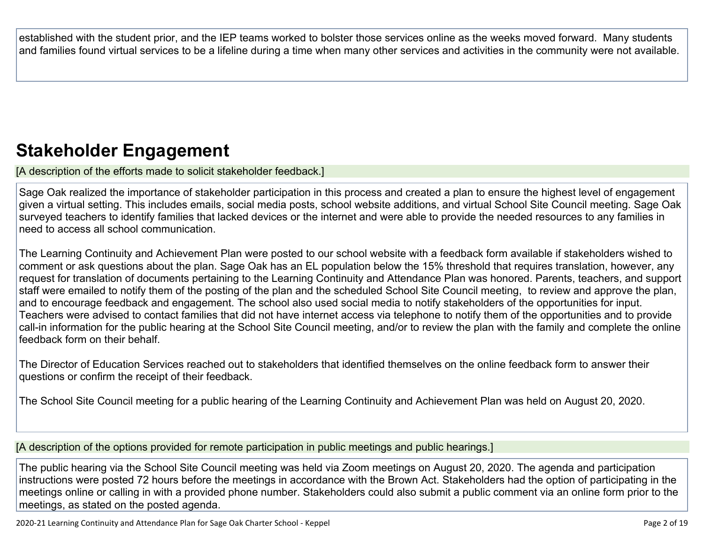established with the student prior, and the IEP teams worked to bolster those services online as the weeks moved forward. Many students and families found virtual services to be a lifeline during a time when many other services and activities in the community were not available.

## **Stakeholder [Engagement](http://www.doc-tracking.com/screenshots/20LCP/Instructions/20LCPInstructions.htm#stakeholderengagement)**

[A description of the efforts made to solicit stakeholder feedback.]

Sage Oak realized the importance of stakeholder participation in this process and created a plan to ensure the highest level of engagement given a virtual setting. This includes emails, social media posts, school website additions, and virtual School Site Council meeting. Sage Oak surveyed teachers to identify families that lacked devices or the internet and were able to provide the needed resources to any families in need to access all school communication.

The Learning Continuity and Achievement Plan were posted to our school website with a feedback form available if stakeholders wished to comment or ask questions about the plan. Sage Oak has an EL population below the 15% threshold that requires translation, however, any request for translation of documents pertaining to the Learning Continuity and Attendance Plan was honored. Parents, teachers, and support staff were emailed to notify them of the posting of the plan and the scheduled School Site Council meeting, to review and approve the plan, and to encourage feedback and engagement. The school also used social media to notify stakeholders of the opportunities for input. Teachers were advised to contact families that did not have internet access via telephone to notify them of the opportunities and to provide call-in information for the public hearing at the School Site Council meeting, and/or to review the plan with the family and complete the online feedback form on their behalf.

The Director of Education Services reached out to stakeholders that identified themselves on the online feedback form to answer their questions or confirm the receipt of their feedback.

The School Site Council meeting for a public hearing of the Learning Continuity and Achievement Plan was held on August 20, 2020.

[A description of the options provided for remote participation in public meetings and public hearings.]

The public hearing via the School Site Council meeting was held via Zoom meetings on August 20, 2020. The agenda and participation instructions were posted 72 hours before the meetings in accordance with the Brown Act. Stakeholders had the option of participating in the meetings online or calling in with a provided phone number. Stakeholders could also submit a public comment via an online form prior to the meetings, as stated on the posted agenda.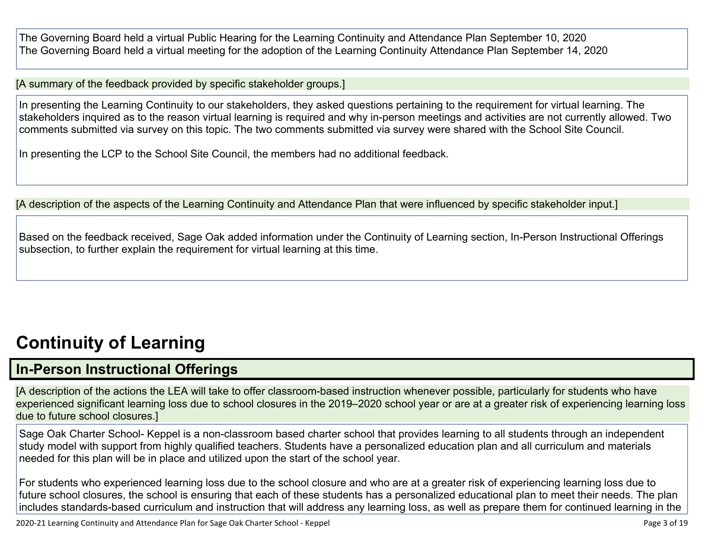The Governing Board held a virtual Public Hearing for the Learning Continuity and Attendance Plan September 10, 2020 The Governing Board held a virtual meeting for the adoption of the Learning Continuity Attendance Plan September 14, 2020

[A summary of the feedback provided by specific stakeholder groups.]

In presenting the Learning Continuity to our stakeholders, they asked questions pertaining to the requirement for virtual learning. The stakeholders inquired as to the reason virtual learning is required and why in-person meetings and activities are not currently allowed. Two comments submitted via survey on this topic. The two comments submitted via survey were shared with the School Site Council.

In presenting the LCP to the School Site Council, the members had no additional feedback.

[A description of the aspects of the Learning Continuity and Attendance Plan that were influenced by specific stakeholder input.]

Based on the feedback received, Sage Oak added information under the Continuity of Learning section, In-Person Instructional Offerings subsection, to further explain the requirement for virtual learning at this time.

## **[Continuity](http://www.doc-tracking.com/screenshots/20LCP/Instructions/20LCPInstructions.htm#ContinuityofLearning) of Learnin[g](http://www.doc-tracking.com/screenshots/20LCP/Instructions/20LCPInstructions.htm#ContinuityofLearning)**

### **In-Person [Instructional](http://www.doc-tracking.com/screenshots/20LCP/Instructions/20LCPInstructions.htm#ContinuityofLearning1) Offerings**

[A description of the actions the LEA will take to offer classroom-based instruction whenever possible, particularly for students who have experienced significant learning loss due to school closures in the 2019–2020 school year or are at a greater risk of experiencing learning loss due to future school closures.]

Sage Oak Charter School- Keppel is a non-classroom based charter school that provides learning to all students through an independent study model with support from highly qualified teachers. Students have a personalized education plan and all curriculum and materials needed for this plan will be in place and utilized upon the start of the school year.

For students who experienced learning loss due to the school closure and who are at a greater risk of experiencing learning loss due to future school closures, the school is ensuring that each of these students has a personalized educational plan to meet their needs. The plan includes standards-based curriculum and instruction that will address any learning loss, as well as prepare them for continued learning in the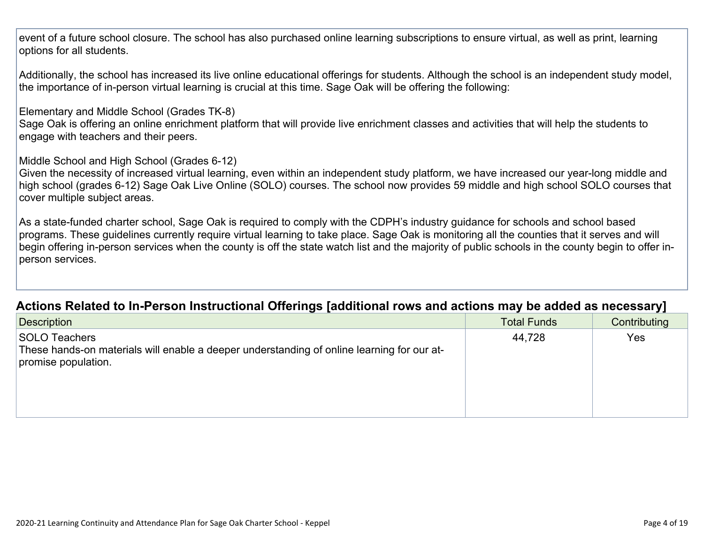event of a future school closure. The school has also purchased online learning subscriptions to ensure virtual, as well as print, learning options for all students.

Additionally, the school has increased its live online educational offerings for students. Although the school is an independent study model, the importance of in-person virtual learning is crucial at this time. Sage Oak will be offering the following:

Elementary and Middle School (Grades TK-8)

Sage Oak is offering an online enrichment platform that will provide live enrichment classes and activities that will help the students to engage with teachers and their peers.

Middle School and High School (Grades 6-12)

Given the necessity of increased virtual learning, even within an independent study platform, we have increased our year-long middle and high school (grades 6-12) Sage Oak Live Online (SOLO) courses. The school now provides 59 middle and high school SOLO courses that cover multiple subject areas.

As a state-funded charter school, Sage Oak is required to comply with the CDPH's industry guidance for schools and school based programs. These guidelines currently require virtual learning to take place. Sage Oak is monitoring all the counties that it serves and will begin offering in-person services when the county is off the state watch list and the majority of public schools in the county begin to offer inperson services.

### **Actions Related to In-Person [Instructional](http://www.doc-tracking.com/screenshots/20LCP/Instructions/20LCPInstructions.htm#ContinuityofLearning2) Offerings [additional rows and actions may be added as necessary]**

| <b>Description</b>                                                                                                                        | <b>Total Funds</b> | - -<br>Contributing |
|-------------------------------------------------------------------------------------------------------------------------------------------|--------------------|---------------------|
| <b>SOLO Teachers</b><br>These hands-on materials will enable a deeper understanding of online learning for our at-<br>promise population. | 44,728             | <b>Yes</b>          |
|                                                                                                                                           |                    |                     |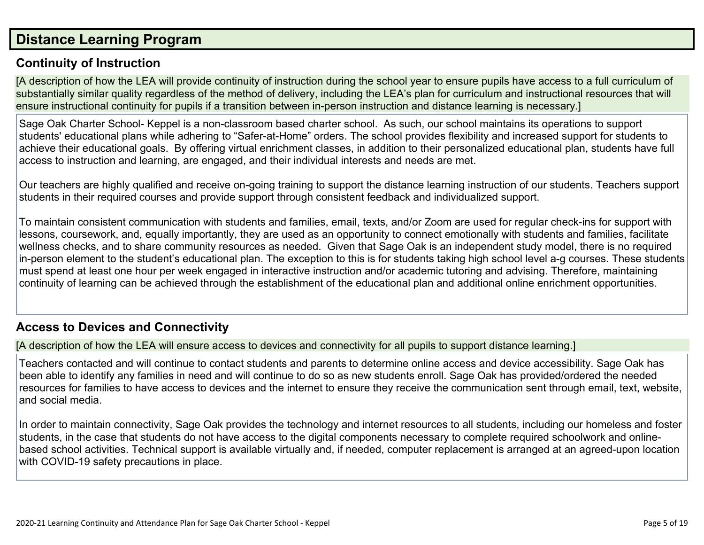### **Distance [Learning](http://www.doc-tracking.com/screenshots/20LCP/Instructions/20LCPInstructions.htm#DistanceLearningProgram) Program**

### **Continuity of [Instruction](http://www.doc-tracking.com/screenshots/20LCP/Instructions/20LCPInstructions.htm#DistanceLearningProgram1)**

[A description of how the LEA will provide continuity of instruction during the school year to ensure pupils have access to a full curriculum of substantially similar quality regardless of the method of delivery, including the LEA's plan for curriculum and instructional resources that will ensure instructional continuity for pupils if a transition between in-person instruction and distance learning is necessary.]

Sage Oak Charter School- Keppel is a non-classroom based charter school. As such, our school maintains its operations to support students' educational plans while adhering to "Safer-at-Home" orders. The school provides flexibility and increased support for students to achieve their educational goals. By offering virtual enrichment classes, in addition to their personalized educational plan, students have full access to instruction and learning, are engaged, and their individual interests and needs are met.

Our teachers are highly qualified and receive on-going training to support the distance learning instruction of our students. Teachers support students in their required courses and provide support through consistent feedback and individualized support.

To maintain consistent communication with students and families, email, texts, and/or Zoom are used for regular check-ins for support with lessons, coursework, and, equally importantly, they are used as an opportunity to connect emotionally with students and families, facilitate wellness checks, and to share community resources as needed. Given that Sage Oak is an independent study model, there is no required in-person element to the student's educational plan. The exception to this is for students taking high school level a-g courses. These students must spend at least one hour per week engaged in interactive instruction and/or academic tutoring and advising. Therefore, maintaining continuity of learning can be achieved through the establishment of the educational plan and additional online enrichment opportunities.

### **Access to Devices and [Connectivity](http://www.doc-tracking.com/screenshots/20LCP/Instructions/20LCPInstructions.htm#DistanceLearningProgram2)**

[A description of how the LEA will ensure access to devices and connectivity for all pupils to support distance learning.]

Teachers contacted and will continue to contact students and parents to determine online access and device accessibility. Sage Oak has been able to identify any families in need and will continue to do so as new students enroll. Sage Oak has provided/ordered the needed resources for families to have access to devices and the internet to ensure they receive the communication sent through email, text, website, and social media.

In order to maintain connectivity, Sage Oak provides the technology and internet resources to all students, including our homeless and foster students, in the case that students do not have access to the digital components necessary to complete required schoolwork and onlinebased school activities. Technical support is available virtually and, if needed, computer replacement is arranged at an agreed-upon location with COVID-19 safety precautions in place.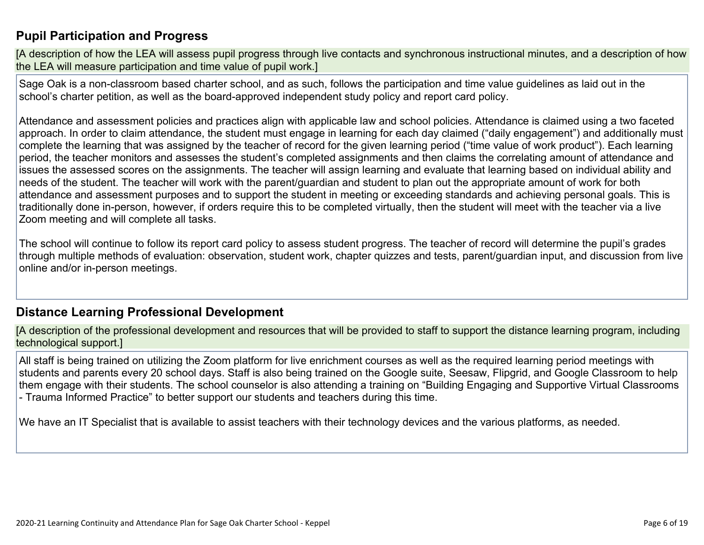### **Pupil [Participation](http://www.doc-tracking.com/screenshots/20LCP/Instructions/20LCPInstructions.htm#DistanceLearningProgram3) and Progress**

[A description of how the LEA will assess pupil progress through live contacts and synchronous instructional minutes, and a description of how the LEA will measure participation and time value of pupil work.]

Sage Oak is a non-classroom based charter school, and as such, follows the participation and time value guidelines as laid out in the school's charter petition, as well as the board-approved independent study policy and report card policy.

Attendance and assessment policies and practices align with applicable law and school policies. Attendance is claimed using a two faceted approach. In order to claim attendance, the student must engage in learning for each day claimed ("daily engagement") and additionally must complete the learning that was assigned by the teacher of record for the given learning period ("time value of work product"). Each learning period, the teacher monitors and assesses the student's completed assignments and then claims the correlating amount of attendance and issues the assessed scores on the assignments. The teacher will assign learning and evaluate that learning based on individual ability and needs of the student. The teacher will work with the parent/guardian and student to plan out the appropriate amount of work for both attendance and assessment purposes and to support the student in meeting or exceeding standards and achieving personal goals. This is traditionally done in-person, however, if orders require this to be completed virtually, then the student will meet with the teacher via a live Zoom meeting and will complete all tasks.

The school will continue to follow its report card policy to assess student progress. The teacher of record will determine the pupil's grades through multiple methods of evaluation: observation, student work, chapter quizzes and tests, parent/guardian input, and discussion from live online and/or in-person meetings.

### **Distance Learning Professional [Development](http://www.doc-tracking.com/screenshots/20LCP/Instructions/20LCPInstructions.htm#DistanceLearningProgram4)**

[A description of the professional development and resources that will be provided to staff to support the distance learning program, including technological support.]

All staff is being trained on utilizing the Zoom platform for live enrichment courses as well as the required learning period meetings with students and parents every 20 school days. Staff is also being trained on the Google suite, Seesaw, Flipgrid, and Google Classroom to help them engage with their students. The school counselor is also attending a training on "Building Engaging and Supportive Virtual Classrooms - Trauma Informed Practice" to better support our students and teachers during this time.

We have an IT Specialist that is available to assist teachers with their technology devices and the various platforms, as needed.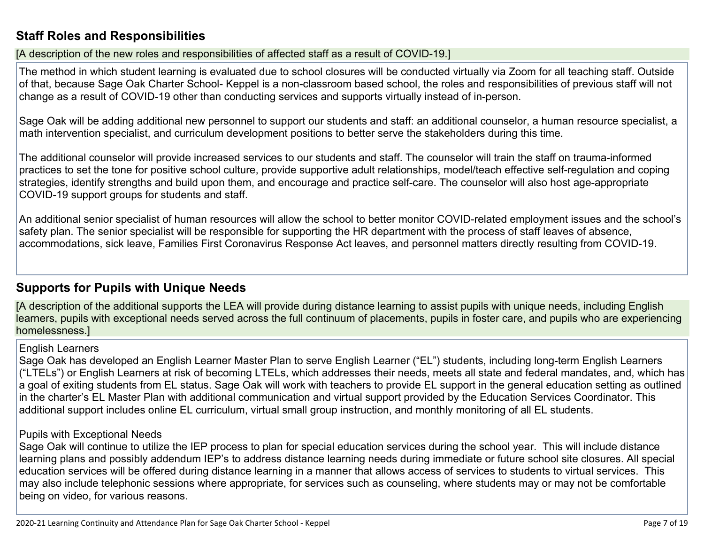### **Staff Roles and [Responsibilities](http://www.doc-tracking.com/screenshots/20LCP/Instructions/20LCPInstructions.htm#DistanceLearningProgram5)**

[A description of the new roles and responsibilities of affected staff as a result of COVID-19.]

The method in which student learning is evaluated due to school closures will be conducted virtually via Zoom for all teaching staff. Outside of that, because Sage Oak Charter School- Keppel is a non-classroom based school, the roles and responsibilities of previous staff will not change as a result of COVID-19 other than conducting services and supports virtually instead of in-person.

Sage Oak will be adding additional new personnel to support our students and staff: an additional counselor, a human resource specialist, a math intervention specialist, and curriculum development positions to better serve the stakeholders during this time.

The additional counselor will provide increased services to our students and staff. The counselor will train the staff on trauma-informed practices to set the tone for positive school culture, provide supportive adult relationships, model/teach effective self-regulation and coping strategies, identify strengths and build upon them, and encourage and practice self-care. The counselor will also host age-appropriate COVID-19 support groups for students and staff.

An additional senior specialist of human resources will allow the school to better monitor COVID-related employment issues and the school's safety plan. The senior specialist will be responsible for supporting the HR department with the process of staff leaves of absence, accommodations, sick leave, Families First Coronavirus Response Act leaves, and personnel matters directly resulting from COVID-19.

### **[Supports](http://www.doc-tracking.com/screenshots/20LCP/Instructions/20LCPInstructions.htm#DistanceLearningProgram6) for Pupils with Unique Needs**

[A description of the additional supports the LEA will provide during distance learning to assist pupils with unique needs, including English learners, pupils with exceptional needs served across the full continuum of placements, pupils in foster care, and pupils who are experiencing homelessness.]

### English Learners

Sage Oak has developed an English Learner Master Plan to serve English Learner ("EL") students, including long-term English Learners ("LTELs") or English Learners at risk of becoming LTELs, which addresses their needs, meets all state and federal mandates, and, which has a goal of exiting students from EL status. Sage Oak will work with teachers to provide EL support in the general education setting as outlined in the charter's EL Master Plan with additional communication and virtual support provided by the Education Services Coordinator. This additional support includes online EL curriculum, virtual small group instruction, and monthly monitoring of all EL students.

### Pupils with Exceptional Needs

Sage Oak will continue to utilize the IEP process to plan for special education services during the school year. This will include distance learning plans and possibly addendum IEP's to address distance learning needs during immediate or future school site closures. All special education services will be offered during distance learning in a manner that allows access of services to students to virtual services. This may also include telephonic sessions where appropriate, for services such as counseling, where students may or may not be comfortable being on video, for various reasons.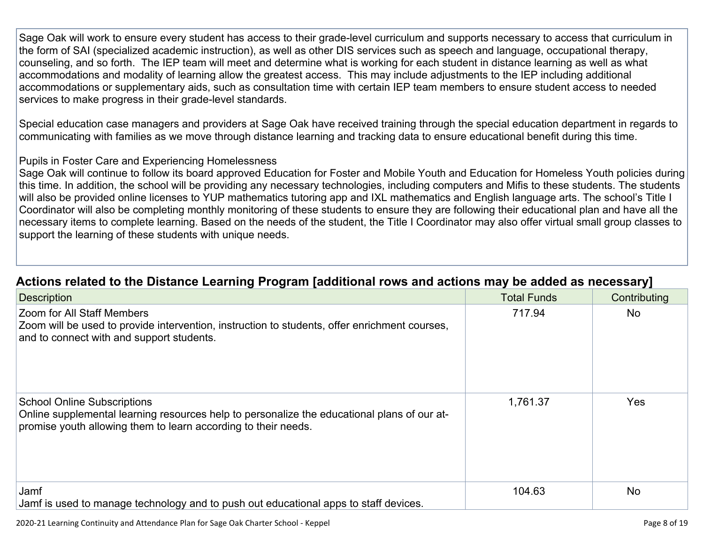Sage Oak will work to ensure every student has access to their grade-level curriculum and supports necessary to access that curriculum in the form of SAI (specialized academic instruction), as well as other DIS services such as speech and language, occupational therapy, counseling, and so forth. The IEP team will meet and determine what is working for each student in distance learning as well as what accommodations and modality of learning allow the greatest access. This may include adjustments to the IEP including additional accommodations or supplementary aids, such as consultation time with certain IEP team members to ensure student access to needed services to make progress in their grade-level standards.

Special education case managers and providers at Sage Oak have received training through the special education department in regards to communicating with families as we move through distance learning and tracking data to ensure educational benefit during this time.

### Pupils in Foster Care and Experiencing Homelessness

Sage Oak will continue to follow its board approved Education for Foster and Mobile Youth and Education for Homeless Youth policies during this time. In addition, the school will be providing any necessary technologies, including computers and Mifis to these students. The students will also be provided online licenses to YUP mathematics tutoring app and IXL mathematics and English language arts. The school's Title I Coordinator will also be completing monthly monitoring of these students to ensure they are following their educational plan and have all the necessary items to complete learning. Based on the needs of the student, the Title I Coordinator may also offer virtual small group classes to support the learning of these students with unique needs.

| <b>Description</b>                                                                                                                                                                                  | <b>Total Funds</b> | Contributing |
|-----------------------------------------------------------------------------------------------------------------------------------------------------------------------------------------------------|--------------------|--------------|
| <b>Zoom for All Staff Members</b><br>Zoom will be used to provide intervention, instruction to students, offer enrichment courses,<br>and to connect with and support students.                     | 717.94             | <b>No</b>    |
| <b>School Online Subscriptions</b><br>Online supplemental learning resources help to personalize the educational plans of our at-<br>promise youth allowing them to learn according to their needs. | 1,761.37           | Yes          |
| Jamf<br>Jamf is used to manage technology and to push out educational apps to staff devices.                                                                                                        | 104.63             | <b>No</b>    |

### **Actions related to the Distance Learning Program [additional rows and actions may be added as [necessary\]](http://www.doc-tracking.com/screenshots/20LCP/Instructions/20LCPInstructions.htm#DistanceLearningProgram7)**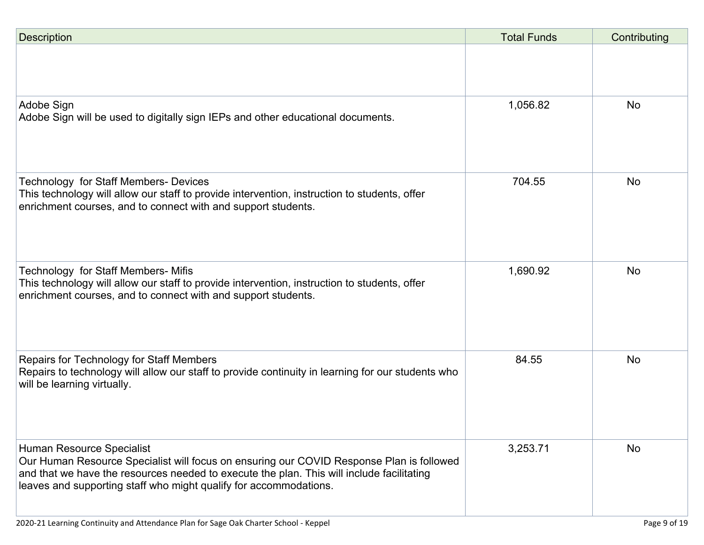| <b>Description</b>                                                                                                                                                                                                                                                                      | <b>Total Funds</b> | Contributing |
|-----------------------------------------------------------------------------------------------------------------------------------------------------------------------------------------------------------------------------------------------------------------------------------------|--------------------|--------------|
|                                                                                                                                                                                                                                                                                         |                    |              |
| Adobe Sign<br>Adobe Sign will be used to digitally sign IEPs and other educational documents.                                                                                                                                                                                           | 1,056.82           | <b>No</b>    |
| <b>Technology for Staff Members- Devices</b><br>This technology will allow our staff to provide intervention, instruction to students, offer<br>enrichment courses, and to connect with and support students.                                                                           | 704.55             | <b>No</b>    |
| Technology for Staff Members- Mifis<br>This technology will allow our staff to provide intervention, instruction to students, offer<br>enrichment courses, and to connect with and support students.                                                                                    | 1,690.92           | <b>No</b>    |
| Repairs for Technology for Staff Members<br>Repairs to technology will allow our staff to provide continuity in learning for our students who<br>will be learning virtually.                                                                                                            | 84.55              | <b>No</b>    |
| Human Resource Specialist<br>Our Human Resource Specialist will focus on ensuring our COVID Response Plan is followed<br>and that we have the resources needed to execute the plan. This will include facilitating<br>leaves and supporting staff who might qualify for accommodations. | 3,253.71           | <b>No</b>    |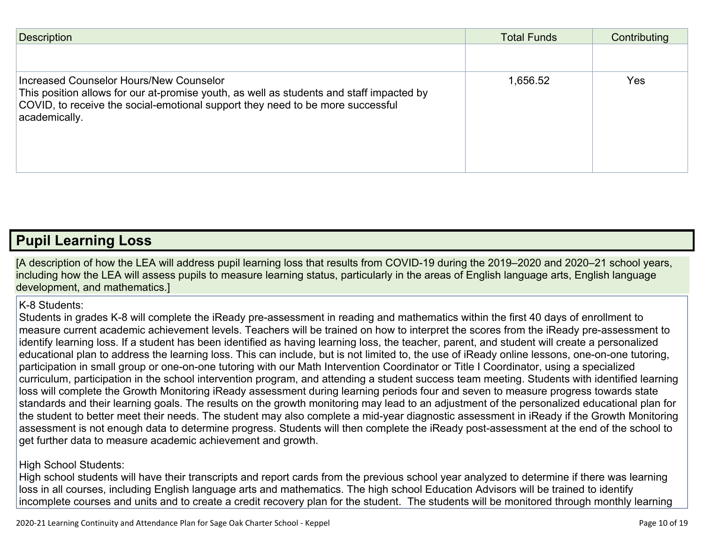| <b>Description</b>                                                                                                                                                                                                                     | <b>Total Funds</b> | Contributing |
|----------------------------------------------------------------------------------------------------------------------------------------------------------------------------------------------------------------------------------------|--------------------|--------------|
|                                                                                                                                                                                                                                        |                    |              |
| Increased Counselor Hours/New Counselor<br>This position allows for our at-promise youth, as well as students and staff impacted by<br>COVID, to receive the social-emotional support they need to be more successful<br>academically. | 1,656.52           | <b>Yes</b>   |

### **Pupil [Learning](http://www.doc-tracking.com/screenshots/20LCP/Instructions/20LCPInstructions.htm#PupilLearningLoss) Loss**

[A description of how the LEA will address pupil learning loss that results from COVID-19 during the 2019–2020 and 2020–21 school years, including how the LEA will assess pupils to measure learning status, particularly in the areas of English language arts, English language development, and mathematics.]

### K-8 Students:

Students in grades K-8 will complete the iReady pre-assessment in reading and mathematics within the first 40 days of enrollment to measure current academic achievement levels. Teachers will be trained on how to interpret the scores from the iReady pre-assessment to identify learning loss. If a student has been identified as having learning loss, the teacher, parent, and student will create a personalized educational plan to address the learning loss. This can include, but is not limited to, the use of iReady online lessons, one-on-one tutoring, participation in small group or one-on-one tutoring with our Math Intervention Coordinator or Title I Coordinator, using a specialized curriculum, participation in the school intervention program, and attending a student success team meeting. Students with identified learning loss will complete the Growth Monitoring iReady assessment during learning periods four and seven to measure progress towards state standards and their learning goals. The results on the growth monitoring may lead to an adjustment of the personalized educational plan for the student to better meet their needs. The student may also complete a mid-year diagnostic assessment in iReady if the Growth Monitoring assessment is not enough data to determine progress. Students will then complete the iReady post-assessment at the end of the school to get further data to measure academic achievement and growth.

### High School Students:

High school students will have their transcripts and report cards from the previous school year analyzed to determine if there was learning loss in all courses, including English language arts and mathematics. The high school Education Advisors will be trained to identify incomplete courses and units and to create a credit recovery plan for the student. The students will be monitored through monthly learning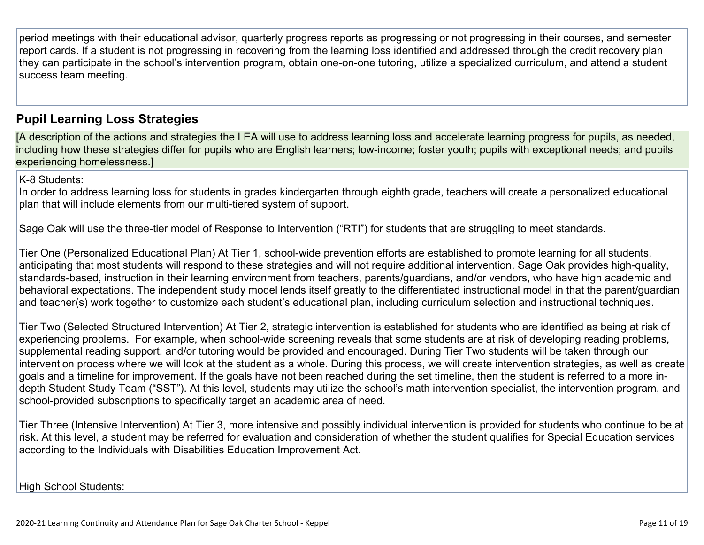period meetings with their educational advisor, quarterly progress reports as progressing or not progressing in their courses, and semester report cards. If a student is not progressing in recovering from the learning loss identified and addressed through the credit recovery plan they can participate in the school's intervention program, obtain one-on-one tutoring, utilize a specialized curriculum, and attend a student success team meeting.

### **Pupil Learning Loss [Strategies](http://www.doc-tracking.com/screenshots/20LCP/Instructions/20LCPInstructions.htm#PupilLearningLoss1)**

[A description of the actions and strategies the LEA will use to address learning loss and accelerate learning progress for pupils, as needed, including how these strategies differ for pupils who are English learners; low-income; foster youth; pupils with exceptional needs; and pupils experiencing homelessness.]

K-8 Students:

In order to address learning loss for students in grades kindergarten through eighth grade, teachers will create a personalized educational plan that will include elements from our multi-tiered system of support.

Sage Oak will use the three-tier model of Response to Intervention ("RTI") for students that are struggling to meet standards.

Tier One (Personalized Educational Plan) At Tier 1, school-wide prevention efforts are established to promote learning for all students, anticipating that most students will respond to these strategies and will not require additional intervention. Sage Oak provides high-quality, standards-based, instruction in their learning environment from teachers, parents/guardians, and/or vendors, who have high academic and behavioral expectations. The independent study model lends itself greatly to the differentiated instructional model in that the parent/guardian and teacher(s) work together to customize each student's educational plan, including curriculum selection and instructional techniques.

Tier Two (Selected Structured Intervention) At Tier 2, strategic intervention is established for students who are identified as being at risk of experiencing problems. For example, when school-wide screening reveals that some students are at risk of developing reading problems, supplemental reading support, and/or tutoring would be provided and encouraged. During Tier Two students will be taken through our intervention process where we will look at the student as a whole. During this process, we will create intervention strategies, as well as create goals and a timeline for improvement. If the goals have not been reached during the set timeline, then the student is referred to a more indepth Student Study Team ("SST"). At this level, students may utilize the school's math intervention specialist, the intervention program, and school-provided subscriptions to specifically target an academic area of need.

Tier Three (Intensive Intervention) At Tier 3, more intensive and possibly individual intervention is provided for students who continue to be at risk. At this level, a student may be referred for evaluation and consideration of whether the student qualifies for Special Education services according to the Individuals with Disabilities Education Improvement Act.

High School Students: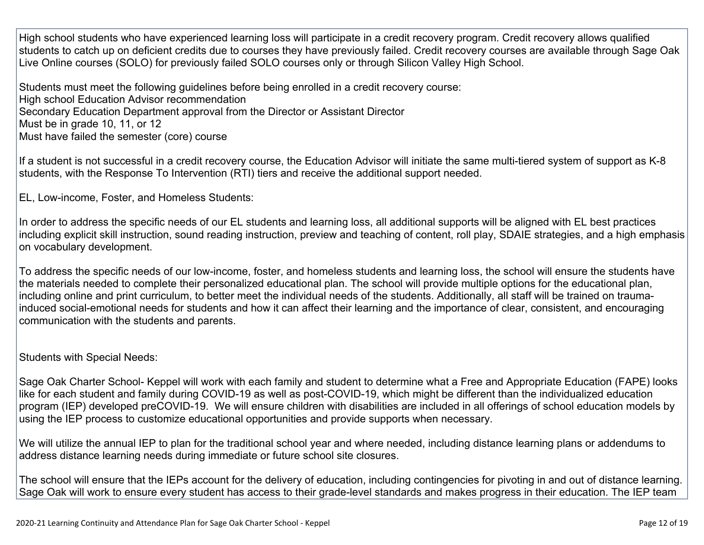High school students who have experienced learning loss will participate in a credit recovery program. Credit recovery allows qualified students to catch up on deficient credits due to courses they have previously failed. Credit recovery courses are available through Sage Oak Live Online courses (SOLO) for previously failed SOLO courses only or through Silicon Valley High School.

Students must meet the following guidelines before being enrolled in a credit recovery course: High school Education Advisor recommendation Secondary Education Department approval from the Director or Assistant Director Must be in grade 10, 11, or 12 Must have failed the semester (core) course

If a student is not successful in a credit recovery course, the Education Advisor will initiate the same multi-tiered system of support as K-8 students, with the Response To Intervention (RTI) tiers and receive the additional support needed.

EL, Low-income, Foster, and Homeless Students:

In order to address the specific needs of our EL students and learning loss, all additional supports will be aligned with EL best practices including explicit skill instruction, sound reading instruction, preview and teaching of content, roll play, SDAIE strategies, and a high emphasis on vocabulary development.

To address the specific needs of our low-income, foster, and homeless students and learning loss, the school will ensure the students have the materials needed to complete their personalized educational plan. The school will provide multiple options for the educational plan, including online and print curriculum, to better meet the individual needs of the students. Additionally, all staff will be trained on traumainduced social-emotional needs for students and how it can affect their learning and the importance of clear, consistent, and encouraging communication with the students and parents.

Students with Special Needs:

Sage Oak Charter School- Keppel will work with each family and student to determine what a Free and Appropriate Education (FAPE) looks like for each student and family during COVID-19 as well as post-COVID-19, which might be different than the individualized education program (IEP) developed preCOVID-19. We will ensure children with disabilities are included in all offerings of school education models by using the IEP process to customize educational opportunities and provide supports when necessary.

We will utilize the annual IEP to plan for the traditional school year and where needed, including distance learning plans or addendums to address distance learning needs during immediate or future school site closures.

The school will ensure that the IEPs account for the delivery of education, including contingencies for pivoting in and out of distance learning. Sage Oak will work to ensure every student has access to their grade-level standards and makes progress in their education. The IEP team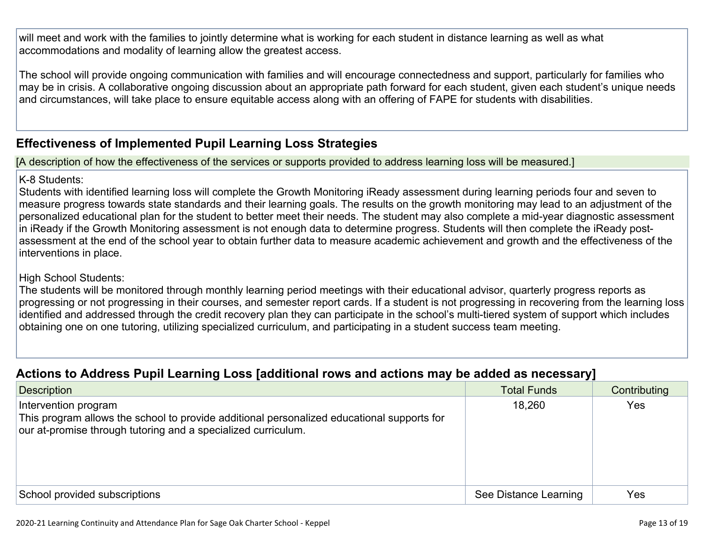will meet and work with the families to jointly determine what is working for each student in distance learning as well as what accommodations and modality of learning allow the greatest access.

The school will provide ongoing communication with families and will encourage connectedness and support, particularly for families who may be in crisis. A collaborative ongoing discussion about an appropriate path forward for each student, given each student's unique needs and circumstances, will take place to ensure equitable access along with an offering of FAPE for students with disabilities.

### **[Effectiveness](http://www.doc-tracking.com/screenshots/20LCP/Instructions/20LCPInstructions.htm#PupilLearningLoss2) of Implemented Pupil Learning Loss Strategies**

[A description of how the effectiveness of the services or supports provided to address learning loss will be measured.]

### K-8 Students:

Students with identified learning loss will complete the Growth Monitoring iReady assessment during learning periods four and seven to measure progress towards state standards and their learning goals. The results on the growth monitoring may lead to an adjustment of the personalized educational plan for the student to better meet their needs. The student may also complete a mid-year diagnostic assessment in iReady if the Growth Monitoring assessment is not enough data to determine progress. Students will then complete the iReady postassessment at the end of the school year to obtain further data to measure academic achievement and growth and the effectiveness of the interventions in place.

### High School Students:

The students will be monitored through monthly learning period meetings with their educational advisor, quarterly progress reports as progressing or not progressing in their courses, and semester report cards. If a student is not progressing in recovering from the learning loss identified and addressed through the credit recovery plan they can participate in the school's multi-tiered system of support which includes obtaining one on one tutoring, utilizing specialized curriculum, and participating in a student success team meeting.

### **Actions to Address Pupil Learning Loss [additional rows and actions may be added as [necessary\]](http://www.doc-tracking.com/screenshots/20LCP/Instructions/20LCPInstructions.htm#PupilLearningLoss4)**

| $\sim$                                                                                                                                                                              | . .                   |              |
|-------------------------------------------------------------------------------------------------------------------------------------------------------------------------------------|-----------------------|--------------|
| <b>Description</b>                                                                                                                                                                  | <b>Total Funds</b>    | Contributing |
| Intervention program<br>This program allows the school to provide additional personalized educational supports for<br>our at-promise through tutoring and a specialized curriculum. | 18,260                | Yes          |
| School provided subscriptions                                                                                                                                                       | See Distance Learning | Yes          |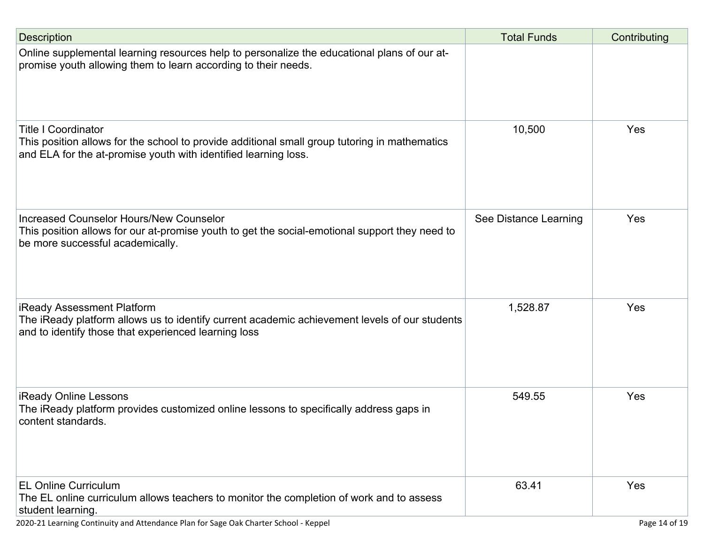| <b>Description</b>                                                                                                                                                                             | <b>Total Funds</b>    | Contributing |
|------------------------------------------------------------------------------------------------------------------------------------------------------------------------------------------------|-----------------------|--------------|
| Online supplemental learning resources help to personalize the educational plans of our at-<br>promise youth allowing them to learn according to their needs.                                  |                       |              |
| <b>Title I Coordinator</b><br>This position allows for the school to provide additional small group tutoring in mathematics<br>and ELA for the at-promise youth with identified learning loss. | 10,500                | Yes          |
| Increased Counselor Hours/New Counselor<br>This position allows for our at-promise youth to get the social-emotional support they need to<br>be more successful academically.                  | See Distance Learning | Yes          |
| iReady Assessment Platform<br>The iReady platform allows us to identify current academic achievement levels of our students<br>and to identify those that experienced learning loss            | 1,528.87              | Yes          |
| <b>iReady Online Lessons</b><br>The iReady platform provides customized online lessons to specifically address gaps in<br>content standards.                                                   | 549.55                | Yes          |
| <b>EL Online Curriculum</b><br>The EL online curriculum allows teachers to monitor the completion of work and to assess<br>student learning.                                                   | 63.41                 | Yes          |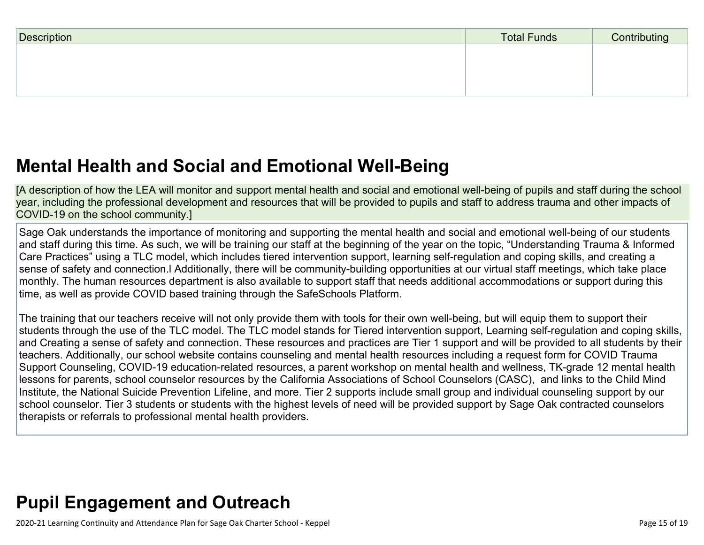| Description | <b>Total Funds</b> | Contributing |
|-------------|--------------------|--------------|
|             |                    |              |
|             |                    |              |
|             |                    |              |

## **Mental Health and Social and Emotional [Well-Being](http://www.doc-tracking.com/screenshots/20LCP/Instructions/20LCPInstructions.htm#MentalHealthandSocialandEmotional)**

[A description of how the LEA will monitor and support mental health and social and emotional well-being of pupils and staff during the school year, including the professional development and resources that will be provided to pupils and staff to address trauma and other impacts of COVID-19 on the school community.]

Sage Oak understands the importance of monitoring and supporting the mental health and social and emotional well-being of our students and staff during this time. As such, we will be training our staff at the beginning of the year on the topic, "Understanding Trauma & Informed Care Practices" using a TLC model, which includes tiered intervention support, learning self-regulation and coping skills, and creating a sense of safety and connection.l Additionally, there will be community-building opportunities at our virtual staff meetings, which take place monthly. The human resources department is also available to support staff that needs additional accommodations or support during this time, as well as provide COVID based training through the SafeSchools Platform.

The training that our teachers receive will not only provide them with tools for their own well-being, but will equip them to support their students through the use of the TLC model. The TLC model stands for Tiered intervention support, Learning self-regulation and coping skills, and Creating a sense of safety and connection. These resources and practices are Tier 1 support and will be provided to all students by their teachers. Additionally, our school website contains counseling and mental health resources including a request form for COVID Trauma Support Counseling, COVID-19 education-related resources, a parent workshop on mental health and wellness, TK-grade 12 mental health lessons for parents, school counselor resources by the California Associations of School Counselors (CASC), and links to the Child Mind Institute, the National Suicide Prevention Lifeline, and more. Tier 2 supports include small group and individual counseling support by our school counselor. Tier 3 students or students with the highest levels of need will be provided support by Sage Oak contracted counselors therapists or referrals to professional mental health providers.

## **Pupil [Engagement](http://www.doc-tracking.com/screenshots/20LCP/Instructions/20LCPInstructions.htm#PupilEngagementandOutreach) and Outreach**

2020-21 Learning Continuity and Attendance Plan for Sage Oak Charter School - Keppel Page 15 of 19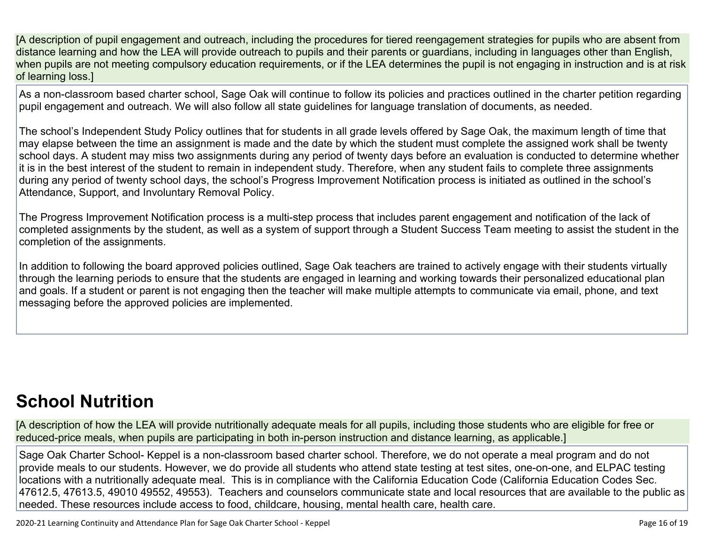[A description of pupil engagement and outreach, including the procedures for tiered reengagement strategies for pupils who are absent from distance learning and how the LEA will provide outreach to pupils and their parents or guardians, including in languages other than English, when pupils are not meeting compulsory education requirements, or if the LEA determines the pupil is not engaging in instruction and is at risk of learning loss.]

As a non-classroom based charter school, Sage Oak will continue to follow its policies and practices outlined in the charter petition regarding pupil engagement and outreach. We will also follow all state guidelines for language translation of documents, as needed.

The school's Independent Study Policy outlines that for students in all grade levels offered by Sage Oak, the maximum length of time that may elapse between the time an assignment is made and the date by which the student must complete the assigned work shall be twenty school days. A student may miss two assignments during any period of twenty days before an evaluation is conducted to determine whether it is in the best interest of the student to remain in independent study. Therefore, when any student fails to complete three assignments during any period of twenty school days, the school's Progress Improvement Notification process is initiated as outlined in the school's Attendance, Support, and Involuntary Removal Policy.

The Progress Improvement Notification process is a multi-step process that includes parent engagement and notification of the lack of completed assignments by the student, as well as a system of support through a Student Success Team meeting to assist the student in the completion of the assignments.

In addition to following the board approved policies outlined, Sage Oak teachers are trained to actively engage with their students virtually through the learning periods to ensure that the students are engaged in learning and working towards their personalized educational plan and goals. If a student or parent is not engaging then the teacher will make multiple attempts to communicate via email, phone, and text messaging before the approved policies are implemented.

## **School [Nutrition](http://www.doc-tracking.com/screenshots/20LCP/Instructions/20LCPInstructions.htm#SchoolNutrition)**

[A description of how the LEA will provide nutritionally adequate meals for all pupils, including those students who are eligible for free or reduced-price meals, when pupils are participating in both in-person instruction and distance learning, as applicable.]

Sage Oak Charter School- Keppel is a non-classroom based charter school. Therefore, we do not operate a meal program and do not provide meals to our students. However, we do provide all students who attend state testing at test sites, one-on-one, and ELPAC testing locations with a nutritionally adequate meal. This is in compliance with the California Education Code (California Education Codes Sec. 47612.5, 47613.5, 49010 49552, 49553). Teachers and counselors communicate state and local resources that are available to the public as needed. These resources include access to food, childcare, housing, mental health care, health care.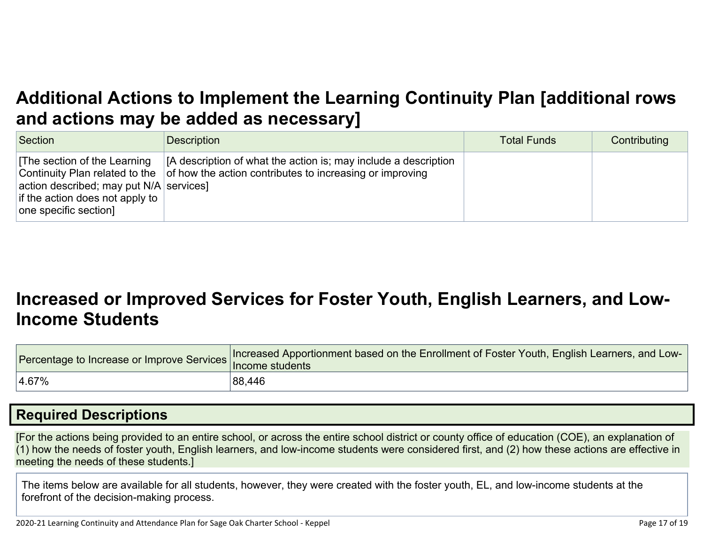## **Additional Actions to Implement the Learning Continuity Plan [\[additional](http://www.doc-tracking.com/screenshots/20LCP/Instructions/20LCPInstructions.htm#AdditionalActions) rows and actions may be added as [necessary\]](http://www.doc-tracking.com/screenshots/20LCP/Instructions/20LCPInstructions.htm#AdditionalActions)**

| Section                                                                                                                              | <b>Description</b>                                                                                                                                                 | <b>Total Funds</b> | Contributing |
|--------------------------------------------------------------------------------------------------------------------------------------|--------------------------------------------------------------------------------------------------------------------------------------------------------------------|--------------------|--------------|
| The section of the Learning<br>action described; may put $N/A$ services]<br>if the action does not apply to<br>one specific section] | [A description of what the action is; may include a description<br>Continuity Plan related to the $\vert$ of how the action contributes to increasing or improving |                    |              |

## **[Increased](http://www.doc-tracking.com/screenshots/20LCP/Instructions/20LCPInstructions.htm#IncreasedorImprovedServices) or Improved Services for Foster Youth, English Learners, and Low-Income [Students](http://www.doc-tracking.com/screenshots/20LCP/Instructions/20LCPInstructions.htm#IncreasedorImprovedServices)**

|           | Tercentage to Increase or Improve Services Increased Apportionment based on the Enrollment of Foster Youth, English Learners, and Low |
|-----------|---------------------------------------------------------------------------------------------------------------------------------------|
| $ 4.67\%$ | 88,446                                                                                                                                |

### **Required [Descriptions](http://www.doc-tracking.com/screenshots/20LCP/Instructions/20LCPInstructions.htm#RequiredDescriptions)**

[For the actions being provided to an entire school, or across the entire school district or county office of education (COE), an explanation of (1) how the needs of foster youth, English learners, and low-income students were considered first, and (2) how these actions are effective in meeting the needs of these students.]

The items below are available for all students, however, they were created with the foster youth, EL, and low-income students at the forefront of the decision-making process.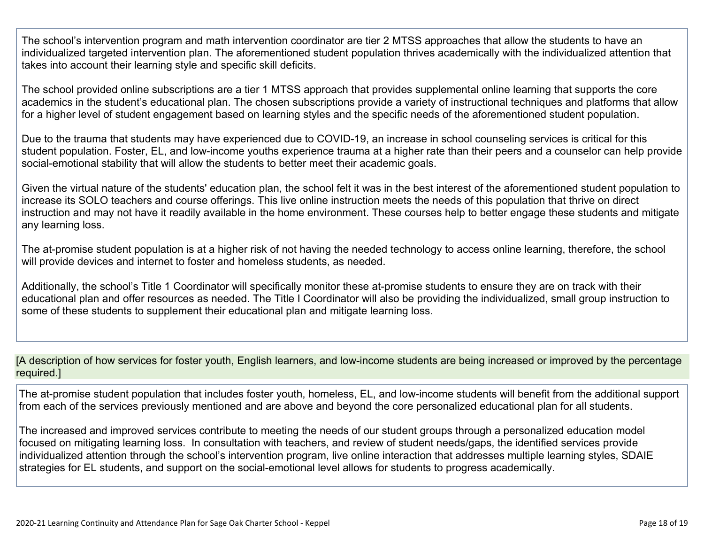The school's intervention program and math intervention coordinator are tier 2 MTSS approaches that allow the students to have an individualized targeted intervention plan. The aforementioned student population thrives academically with the individualized attention that takes into account their learning style and specific skill deficits.

The school provided online subscriptions are a tier 1 MTSS approach that provides supplemental online learning that supports the core academics in the student's educational plan. The chosen subscriptions provide a variety of instructional techniques and platforms that allow for a higher level of student engagement based on learning styles and the specific needs of the aforementioned student population.

Due to the trauma that students may have experienced due to COVID-19, an increase in school counseling services is critical for this student population. Foster, EL, and low-income youths experience trauma at a higher rate than their peers and a counselor can help provide social-emotional stability that will allow the students to better meet their academic goals.

Given the virtual nature of the students' education plan, the school felt it was in the best interest of the aforementioned student population to increase its SOLO teachers and course offerings. This live online instruction meets the needs of this population that thrive on direct instruction and may not have it readily available in the home environment. These courses help to better engage these students and mitigate any learning loss.

The at-promise student population is at a higher risk of not having the needed technology to access online learning, therefore, the school will provide devices and internet to foster and homeless students, as needed.

Additionally, the school's Title 1 Coordinator will specifically monitor these at-promise students to ensure they are on track with their educational plan and offer resources as needed. The Title I Coordinator will also be providing the individualized, small group instruction to some of these students to supplement their educational plan and mitigate learning loss.

[A description of how services for foster youth, English learners, and low-income students are being increased or improved by the percentage required.]

The at-promise student population that includes foster youth, homeless, EL, and low-income students will benefit from the additional support from each of the services previously mentioned and are above and beyond the core personalized educational plan for all students.

The increased and improved services contribute to meeting the needs of our student groups through a personalized education model focused on mitigating learning loss. In consultation with teachers, and review of student needs/gaps, the identified services provide individualized attention through the school's intervention program, live online interaction that addresses multiple learning styles, SDAIE strategies for EL students, and support on the social-emotional level allows for students to progress academically.